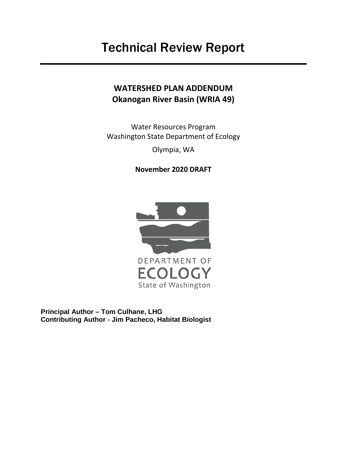## <span id="page-0-0"></span>**WATERSHED PLAN ADDENDUM Okanogan River Basin (WRIA 49)**

Water Resources Program Washington State Department of Ecology Olympia, WA

**November 2020 DRAFT**



State of Washington

**Principal Author – Tom Culhane, LHG Contributing Author - Jim Pacheco, Habitat Biologist**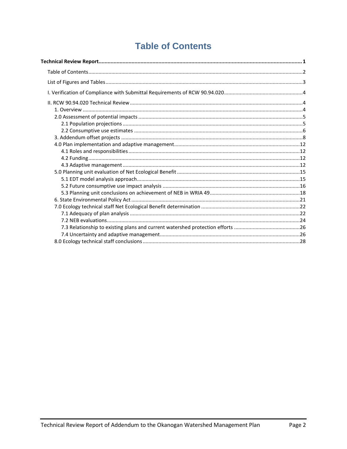## <span id="page-1-0"></span>**Table of Contents**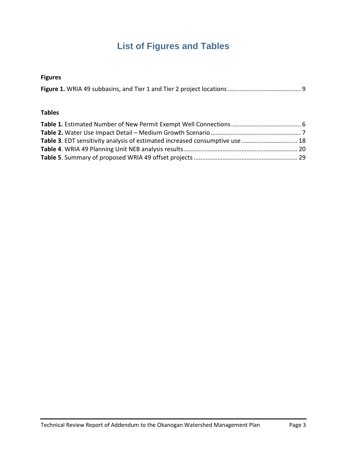# **List of Figures and Tables**

## <span id="page-2-0"></span>**Figures**

|--|

#### **Tables**

| Table 3. EDT sensitivity analysis of estimated increased consumptive use  18 |  |
|------------------------------------------------------------------------------|--|
|                                                                              |  |
|                                                                              |  |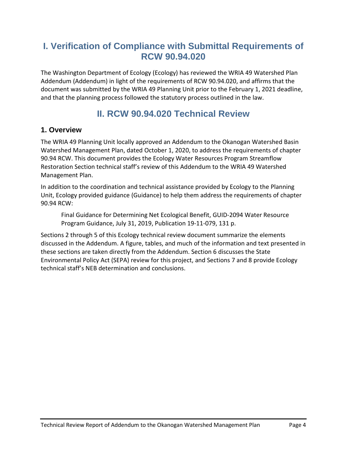## <span id="page-3-0"></span>**I. Verification of Compliance with Submittal Requirements of RCW 90.94.020**

The Washington Department of Ecology (Ecology) has reviewed the WRIA 49 Watershed Plan Addendum (Addendum) in light of the requirements of RCW 90.94.020, and affirms that the document was submitted by the WRIA 49 Planning Unit prior to the February 1, 2021 deadline, and that the planning process followed the statutory process outlined in the law.

## **II. RCW 90.94.020 Technical Review**

## <span id="page-3-2"></span><span id="page-3-1"></span>**1. Overview**

The WRIA 49 Planning Unit locally approved an Addendum to the Okanogan Watershed Basin Watershed Management Plan, dated October 1, 2020, to address the requirements of chapter 90.94 RCW. This document provides the Ecology Water Resources Program Streamflow Restoration Section technical staff's review of this Addendum to the WRIA 49 Watershed Management Plan.

In addition to the coordination and technical assistance provided by Ecology to the Planning Unit, Ecology provided guidance (Guidance) to help them address the requirements of chapter 90.94 RCW:

Final Guidance for Determining Net Ecological Benefit, GUID-2094 Water Resource Program Guidance, July 31, 2019, Publication 19-11-079, 131 p.

Sections 2 through 5 of this Ecology technical review document summarize the elements discussed in the Addendum. A figure, tables, and much of the information and text presented in these sections are taken directly from the Addendum. Section 6 discusses the State Environmental Policy Act (SEPA) review for this project, and Sections 7 and 8 provide Ecology technical staff's NEB determination and conclusions.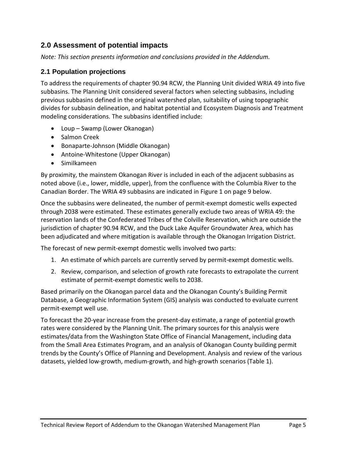## <span id="page-4-1"></span><span id="page-4-0"></span>**2.0 Assessment of potential impacts**

*Note: This section presents information and conclusions provided in the Addendum.*

## **2.1 Population projections**

To address the requirements of chapter 90.94 RCW, the Planning Unit divided WRIA 49 into five subbasins. The Planning Unit considered several factors when selecting subbasins, including previous subbasins defined in the original watershed plan, suitability of using topographic divides for subbasin delineation, and habitat potential and Ecosystem Diagnosis and Treatment modeling considerations. The subbasins identified include:

- Loup Swamp (Lower Okanogan)
- Salmon Creek
- Bonaparte-Johnson (Middle Okanogan)
- Antoine-Whitestone (Upper Okanogan)
- Similkameen

By proximity, the mainstem Okanogan River is included in each of the adjacent subbasins as noted above (i.e., lower, middle, upper), from the confluence with the Columbia River to the Canadian Border. The WRIA 49 subbasins are indicated in Figure 1 on page 9 below.

Once the subbasins were delineated, the number of permit-exempt domestic wells expected through 2038 were estimated. These estimates generally exclude two areas of WRIA 49: the reservation lands of the Confederated Tribes of the Colville Reservation, which are outside the jurisdiction of chapter 90.94 RCW, and the Duck Lake Aquifer Groundwater Area, which has been adjudicated and where mitigation is available through the Okanogan Irrigation District.

The forecast of new permit-exempt domestic wells involved two parts:

- 1. An estimate of which parcels are currently served by permit-exempt domestic wells.
- 2. Review, comparison, and selection of growth rate forecasts to extrapolate the current estimate of permit-exempt domestic wells to 2038.

Based primarily on the Okanogan parcel data and the Okanogan County's Building Permit Database, a Geographic Information System (GIS) analysis was conducted to evaluate current permit-exempt well use.

To forecast the 20-year increase from the present-day estimate, a range of potential growth rates were considered by the Planning Unit. The primary sources for this analysis were estimates/data from the Washington State Office of Financial Management, including data from the Small Area Estimates Program, and an analysis of Okanogan County building permit trends by the County's Office of Planning and Development. Analysis and review of the various datasets, yielded low-growth, medium-growth, and high-growth scenarios (Table 1).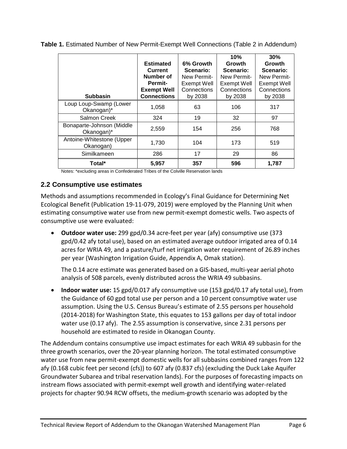|                                         | <b>Estimated</b><br>Current<br>Number of<br><b>Permit-</b><br><b>Exempt Well</b> | 6% Growth<br>Scenario:<br>New Permit-<br><b>Exempt Well</b><br>Connections | 10%<br>Growth<br>Scenario:<br>New Permit-<br><b>Exempt Well</b><br>Connections | 30%<br>Growth<br>Scenario:<br>New Permit-<br><b>Exempt Well</b><br>Connections |
|-----------------------------------------|----------------------------------------------------------------------------------|----------------------------------------------------------------------------|--------------------------------------------------------------------------------|--------------------------------------------------------------------------------|
| <b>Subbasin</b>                         | <b>Connections</b>                                                               | by 2038                                                                    | by 2038                                                                        | by 2038                                                                        |
| Loup Loup-Swamp (Lower<br>Okanogan)*    | 1,058                                                                            | 63                                                                         | 106                                                                            | 317                                                                            |
| Salmon Creek                            | 324                                                                              | 19                                                                         | 32                                                                             | 97                                                                             |
| Bonaparte-Johnson (Middle<br>Okanogan)* | 2,559                                                                            | 154                                                                        | 256                                                                            | 768                                                                            |
| Antoine-Whitestone (Upper<br>Okanogan)  | 1,730                                                                            | 104                                                                        | 173                                                                            | 519                                                                            |
| Similkameen                             | 286                                                                              | 17                                                                         | 29                                                                             | 86                                                                             |
| Total*                                  | 5,957                                                                            | 357                                                                        | 596                                                                            | 1,787                                                                          |

<span id="page-5-1"></span>**Table 1.** Estimated Number of New Permit-Exempt Well Connections (Table 2 in Addendum)

Notes: \*excluding areas in Confederated Tribes of the Colville Reservation lands

#### <span id="page-5-0"></span>**2.2 Consumptive use estimates**

Methods and assumptions recommended in Ecology's Final Guidance for Determining Net Ecological Benefit (Publication 19-11-079, 2019) were employed by the Planning Unit when estimating consumptive water use from new permit-exempt domestic wells. Two aspects of consumptive use were evaluated:

• **Outdoor water use:** 299 gpd/0.34 acre-feet per year (afy) consumptive use (373 gpd/0.42 afy total use), based on an estimated average outdoor irrigated area of 0.14 acres for WRIA 49, and a pasture/turf net irrigation water requirement of 26.89 inches per year (Washington Irrigation Guide, Appendix A, Omak station).

The 0.14 acre estimate was generated based on a GIS-based, multi-year aerial photo analysis of 508 parcels, evenly distributed across the WRIA 49 subbasins.

• **Indoor water use:** 15 gpd/0.017 afy consumptive use (153 gpd/0.17 afy total use), from the Guidance of 60 gpd total use per person and a 10 percent consumptive water use assumption. Using the U.S. Census Bureau's estimate of 2.55 persons per household (2014-2018) for Washington State, this equates to 153 gallons per day of total indoor water use (0.17 afy). The 2.55 assumption is conservative, since 2.31 persons per household are estimated to reside in Okanogan County.

The Addendum contains consumptive use impact estimates for each WRIA 49 subbasin for the three growth scenarios, over the 20-year planning horizon. The total estimated consumptive water use from new permit-exempt domestic wells for all subbasins combined ranges from 122 afy (0.168 cubic feet per second (cfs)) to 607 afy (0.837 cfs) (excluding the Duck Lake Aquifer Groundwater Subarea and tribal reservation lands). For the purposes of forecasting impacts on instream flows associated with permit-exempt well growth and identifying water-related projects for chapter 90.94 RCW offsets, the medium-growth scenario was adopted by the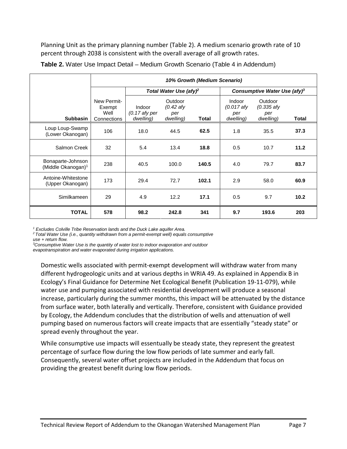Planning Unit as the primary planning number (Table 2). A medium scenario growth rate of 10 percent through 2038 is consistent with the overall average of all growth rates.

|                                                     | 10% Growth (Medium Scenario)                 |                                        |                                            |       |                                            |                                             |       |  |  |
|-----------------------------------------------------|----------------------------------------------|----------------------------------------|--------------------------------------------|-------|--------------------------------------------|---------------------------------------------|-------|--|--|
|                                                     |                                              |                                        | Total Water Use (afy) <sup>2</sup>         |       | Consumptive Water Use (afy) <sup>3</sup>   |                                             |       |  |  |
| <b>Subbasin</b>                                     | New Permit-<br>Exempt<br>Well<br>Connections | Indoor<br>$(0.17$ afy per<br>dwelling) | Outdoor<br>$(0.42$ afy<br>per<br>dwelling) | Total | Indoor<br>$(0.017$ afy<br>per<br>dwelling) | Outdoor<br>$(0.335$ afy<br>per<br>dwelling) | Total |  |  |
| Loup Loup-Swamp<br>(Lower Okanogan)                 | 106                                          | 18.0                                   | 44.5                                       | 62.5  | 1.8                                        | 35.5                                        | 37.3  |  |  |
| Salmon Creek                                        | 32                                           | 5.4                                    | 13.4                                       | 18.8  | 0.5                                        | 10.7                                        | 11.2  |  |  |
| Bonaparte-Johnson<br>(Middle Okanogan) <sup>1</sup> | 238                                          | 40.5                                   | 100.0                                      | 140.5 | 4.0                                        | 79.7                                        | 83.7  |  |  |
| Antoine-Whitestone<br>(Upper Okanogan)              | 173                                          | 29.4                                   | 72.7                                       | 102.1 | 2.9                                        | 58.0                                        | 60.9  |  |  |
| Similkameen                                         | 29                                           | 4.9                                    | 12.2                                       | 17.1  | 0.5                                        | 9.7                                         | 10.2  |  |  |
| <b>TOTAL</b>                                        | 578                                          | 98.2                                   | 242.8                                      | 341   | 9.7                                        | 193.6                                       | 203   |  |  |

<span id="page-6-1"></span>**Table 2.** Water Use Impact Detail – Medium Growth Scenario (Table 4 in Addendum)

*<sup>1</sup> Excludes Colville Tribe Reservation lands and the Duck Lake aquifer Area.*

*<sup>2</sup> Total Water Use (i.e., quantity withdrawn from a permit-exempt well) equals consumptive use + return flow.*

*3 Consumptive Water Use is the quantity of water lost to indoor evaporation and outdoor* 

*evapotranspiration and water evaporated during irrigation applications.*

Domestic wells associated with permit-exempt development will withdraw water from many different hydrogeologic units and at various depths in WRIA 49. As explained in Appendix B in Ecology's Final Guidance for Determine Net Ecological Benefit (Publication 19-11-079), while water use and pumping associated with residential development will produce a seasonal increase, particularly during the summer months, this impact will be attenuated by the distance from surface water, both laterally and vertically. Therefore, consistent with Guidance provided by Ecology, the Addendum concludes that the distribution of wells and attenuation of well pumping based on numerous factors will create impacts that are essentially "steady state" or spread evenly throughout the year.

<span id="page-6-0"></span>While consumptive use impacts will essentually be steady state, they represent the greatest percentage of surface flow during the low flow periods of late summer and early fall. Consequently, several water offset projects are included in the Addendum that focus on providing the greatest benefit during low flow periods.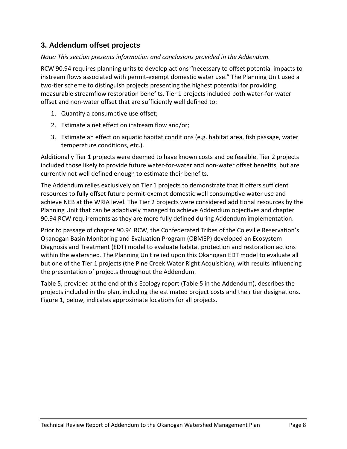## **3. Addendum offset projects**

#### *Note: This section presents information and conclusions provided in the Addendum.*

RCW 90.94 requires planning units to develop actions "necessary to offset potential impacts to instream flows associated with permit-exempt domestic water use." The Planning Unit used a two-tier scheme to distinguish projects presenting the highest potential for providing measurable streamflow restoration benefits. Tier 1 projects included both water-for-water offset and non-water offset that are sufficiently well defined to:

- 1. Quantify a consumptive use offset;
- 2. Estimate a net effect on instream flow and/or;
- 3. Estimate an effect on aquatic habitat conditions (e.g. habitat area, fish passage, water temperature conditions, etc.).

Additionally Tier 1 projects were deemed to have known costs and be feasible. Tier 2 projects included those likely to provide future water-for-water and non-water offset benefits, but are currently not well defined enough to estimate their benefits.

The Addendum relies exclusively on Tier 1 projects to demonstrate that it offers sufficient resources to fully offset future permit-exempt domestic well consumptive water use and achieve NEB at the WRIA level. The Tier 2 projects were considered additional resources by the Planning Unit that can be adaptively managed to achieve Addendum objectives and chapter 90.94 RCW requirements as they are more fully defined during Addendum implementation.

Prior to passage of chapter 90.94 RCW, the Confederated Tribes of the Coleville Reservation's Okanogan Basin Monitoring and Evaluation Program (OBMEP) developed an Ecosystem Diagnosis and Treatment (EDT) model to evaluate habitat protection and restoration actions within the watershed. The Planning Unit relied upon this Okanogan EDT model to evaluate all but one of the Tier 1 projects (the Pine Creek Water Right Acquisition), with results influencing the presentation of projects throughout the Addendum.

Table 5, provided at the end of this Ecology report (Table 5 in the Addendum), describes the projects included in the plan, including the estimated project costs and their tier designations. Figure 1, below, indicates approximate locations for all projects.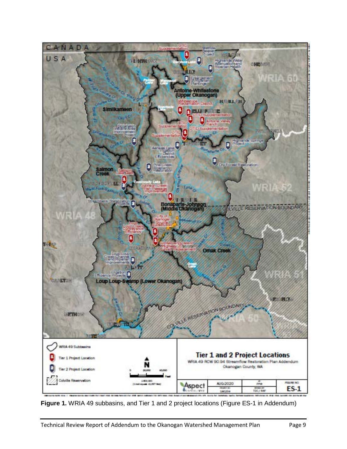

<span id="page-8-0"></span>**Figure 1.** WRIA 49 subbasins, and Tier 1 and 2 project locations (Figure ES-1 in Addendum)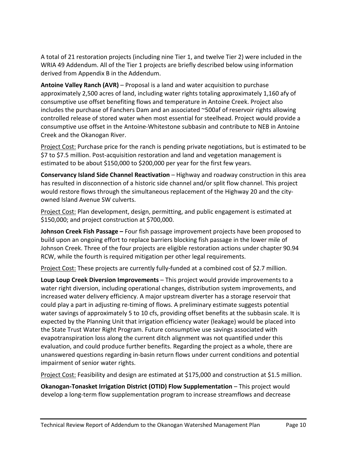A total of 21 restoration projects (including nine Tier 1, and twelve Tier 2) were included in the WRIA 49 Addendum. All of the Tier 1 projects are briefly described below using information derived from Appendix B in the Addendum.

**Antoine Valley Ranch (AVR)** – Proposal is a land and water acquisition to purchase approximately 2,500 acres of land, including water rights totaling approximately 1,160 afy of consumptive use offset benefiting flows and temperature in Antoine Creek. Project also includes the purchase of Fanchers Dam and an associated ~500af of reservoir rights allowing controlled release of stored water when most essential for steelhead. Project would provide a consumptive use offset in the Antoine-Whitestone subbasin and contribute to NEB in Antoine Creek and the Okanogan River.

Project Cost: Purchase price for the ranch is pending private negotiations, but is estimated to be \$7 to \$7.5 million. Post-acquisition restoration and land and vegetation management is estimated to be about \$150,000 to \$200,000 per year for the first few years.

**Conservancy Island Side Channel Reactivation** – Highway and roadway construction in this area has resulted in disconnection of a historic side channel and/or split flow channel. This project would restore flows through the simultaneous replacement of the Highway 20 and the cityowned Island Avenue SW culverts.

Project Cost: Plan development, design, permitting, and public engagement is estimated at \$150,000; and project construction at \$700,000.

**Johnson Creek Fish Passage –** Four fish passage improvement projects have been proposed to build upon an ongoing effort to replace barriers blocking fish passage in the lower mile of Johnson Creek. Three of the four projects are eligible restoration actions under chapter 90.94 RCW, while the fourth is required mitigation per other legal requirements.

Project Cost: These projects are currently fully-funded at a combined cost of \$2.7 million.

**Loup Loup Creek Diversion Improvements** – This project would provide improvements to a water right diversion, including operational changes, distribution system improvements, and increased water delivery efficiency. A major upstream diverter has a storage reservoir that could play a part in adjusting re-timing of flows. A preliminary estimate suggests potential water savings of approximately 5 to 10 cfs, providing offset benefits at the subbasin scale. It is expected by the Planning Unit that irrigation efficiency water (leakage) would be placed into the State Trust Water Right Program. Future consumptive use savings associated with evapotranspiration loss along the current ditch alignment was not quantified under this evaluation, and could produce further benefits. Regarding the project as a whole, there are unanswered questions regarding in-basin return flows under current conditions and potential impairment of senior water rights.

Project Cost: Feasibility and design are estimated at \$175,000 and construction at \$1.5 million.

**Okanogan-Tonasket Irrigation District (OTID) Flow Supplementation** – This project would develop a long-term flow supplementation program to increase streamflows and decrease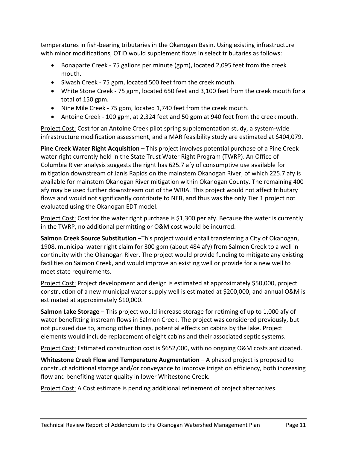temperatures in fish-bearing tributaries in the Okanogan Basin. Using existing infrastructure with minor modifications, OTID would supplement flows in select tributaries as follows:

- Bonaparte Creek 75 gallons per minute (gpm), located 2,095 feet from the creek mouth.
- Siwash Creek 75 gpm, located 500 feet from the creek mouth.
- White Stone Creek 75 gpm, located 650 feet and 3,100 feet from the creek mouth for a total of 150 gpm.
- Nine Mile Creek 75 gpm, located 1,740 feet from the creek mouth.
- Antoine Creek 100 gpm, at 2,324 feet and 50 gpm at 940 feet from the creek mouth.

Project Cost: Cost for an Antoine Creek pilot spring supplementation study, a system-wide infrastructure modification assessment, and a MAR feasibility study are estimated at \$404,079.

**Pine Creek Water Right Acquisition** – This project involves potential purchase of a Pine Creek water right currently held in the State Trust Water Right Program (TWRP). An Office of Columbia River analysis suggests the right has 625.7 afy of consumptive use available for mitigation downstream of Janis Rapids on the mainstem Okanogan River, of which 225.7 afy is available for mainstem Okanogan River mitigation within Okanogan County. The remaining 400 afy may be used further downstream out of the WRIA. This project would not affect tributary flows and would not significantly contribute to NEB, and thus was the only Tier 1 project not evaluated using the Okanogan EDT model.

Project Cost: Cost for the water right purchase is \$1,300 per afy. Because the water is currently in the TWRP, no additional permitting or O&M cost would be incurred.

**Salmon Creek Source Substitution** –This project would entail transferring a City of Okanogan, 1908, municipal water right claim for 300 gpm (about 484 afy) from Salmon Creek to a well in continuity with the Okanogan River. The project would provide funding to mitigate any existing facilities on Salmon Creek, and would improve an existing well or provide for a new well to meet state requirements.

Project Cost: Project development and design is estimated at approximately \$50,000, project construction of a new municipal water supply well is estimated at \$200,000, and annual O&M is estimated at approximately \$10,000.

**Salmon Lake Storage** – This project would increase storage for retiming of up to 1,000 afy of water benefitting instream flows in Salmon Creek. The project was considered previously, but not pursued due to, among other things, potential effects on cabins by the lake. Project elements would include replacement of eight cabins and their associated septic systems.

Project Cost: Estimated construction cost is \$652,000, with no ongoing O&M costs anticipated.

**Whitestone Creek Flow and Temperature Augmentation** – A phased project is proposed to construct additional storage and/or conveyance to improve irrigation efficiency, both increasing flow and benefiting water quality in lower Whitestone Creek.

Project Cost: A Cost estimate is pending additional refinement of project alternatives.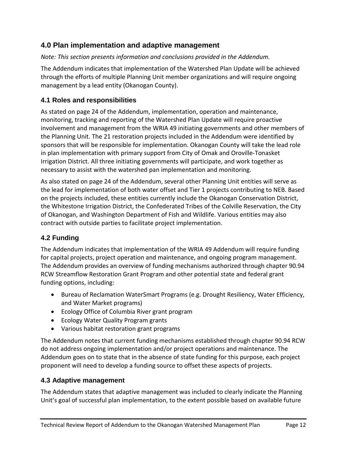## <span id="page-11-0"></span>**4.0 Plan implementation and adaptive management**

*Note: This section presents information and conclusions provided in the Addendum.*

The Addendum indicates that implementation of the Watershed Plan Update will be achieved through the efforts of multiple Planning Unit member organizations and will require ongoing management by a lead entity (Okanogan County).

## <span id="page-11-1"></span>**4.1 Roles and responsibilities**

As stated on page 24 of the Addendum, implementation, operation and maintenance, monitoring, tracking and reporting of the Watershed Plan Update will require proactive involvement and management from the WRIA 49 initiating governments and other members of the Planning Unit. The 21 restoration projects included in the Addendum were identified by sponsors that will be responsible for implementation. Okanogan County will take the lead role in plan implementation with primary support from City of Omak and Oroville-Tonasket Irrigation District. All three initiating governments will participate, and work together as necessary to assist with the watershed pan implementation and monitoring.

As also stated on page 24 of the Addendum, several other Planning Unit entities will serve as the lead for implementation of both water offset and Tier 1 projects contributing to NEB. Based on the projects included, these entities currently include the Okanogan Conservation District, the Whitestone Irrigation District, the Confederated Tribes of the Colville Reservation, the City of Okanogan, and Washington Department of Fish and Wildlife. Various entities may also contract with outside parties to facilitate project implementation.

## <span id="page-11-2"></span>**4.2 Funding**

The Addendum indicates that implementation of the WRIA 49 Addendum will require funding for capital projects, project operation and maintenance, and ongoing program management. The Addendum provides an overview of funding mechanisms authorized through chapter 90.94 RCW Streamflow Restoration Grant Program and other potential state and federal grant funding options, including:

- Bureau of Reclamation WaterSmart Programs (e.g. Drought Resiliency, Water Efficiency, and Water Market programs)
- Ecology Office of Columbia River grant program
- Ecology Water Quality Program grants
- Various habitat restoration grant programs

The Addendum notes that current funding mechanisms established through chapter 90.94 RCW do not address ongoing implementation and/or project operations and maintenance. The Addendum goes on to state that in the absence of state funding for this purpose, each project proponent will need to develop a funding source to offset these aspects of projects.

## <span id="page-11-3"></span>**4.3 Adaptive management**

The Addendum states that adaptive management was included to clearly indicate the Planning Unit's goal of successful plan implementation, to the extent possible based on available future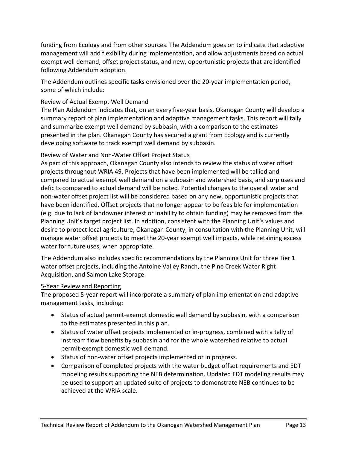funding from Ecology and from other sources. The Addendum goes on to indicate that adaptive management will add flexibility during implementation, and allow adjustments based on actual exempt well demand, offset project status, and new, opportunistic projects that are identified following Addendum adoption.

The Addendum outlines specific tasks envisioned over the 20-year implementation period, some of which include:

#### Review of Actual Exempt Well Demand

The Plan Addendum indicates that, on an every five-year basis, Okanogan County will develop a summary report of plan implementation and adaptive management tasks. This report will tally and summarize exempt well demand by subbasin, with a comparison to the estimates presented in the plan. Okanagan County has secured a grant from Ecology and is currently developing software to track exempt well demand by subbasin.

#### Review of Water and Non-Water Offset Project Status

As part of this approach, Okanagan County also intends to review the status of water offset projects throughout WRIA 49. Projects that have been implemented will be tallied and compared to actual exempt well demand on a subbasin and watershed basis, and surpluses and deficits compared to actual demand will be noted. Potential changes to the overall water and non-water offset project list will be considered based on any new, opportunistic projects that have been identified. Offset projects that no longer appear to be feasible for implementation (e.g. due to lack of landowner interest or inability to obtain funding) may be removed from the Planning Unit's target project list. In addition, consistent with the Planning Unit's values and desire to protect local agriculture, Okanagan County, in consultation with the Planning Unit, will manage water offset projects to meet the 20-year exempt well impacts, while retaining excess water for future uses, when appropriate.

The Addendum also includes specific recommendations by the Planning Unit for three Tier 1 water offset projects, including the Antoine Valley Ranch, the Pine Creek Water Right Acquisition, and Salmon Lake Storage.

#### 5-Year Review and Reporting

The proposed 5-year report will incorporate a summary of plan implementation and adaptive management tasks, including:

- Status of actual permit-exempt domestic well demand by subbasin, with a comparison to the estimates presented in this plan.
- Status of water offset projects implemented or in-progress, combined with a tally of instream flow benefits by subbasin and for the whole watershed relative to actual permit-exempt domestic well demand.
- Status of non-water offset projects implemented or in progress.
- Comparison of completed projects with the water budget offset requirements and EDT modeling results supporting the NEB determination. Updated EDT modeling results may be used to support an updated suite of projects to demonstrate NEB continues to be achieved at the WRIA scale.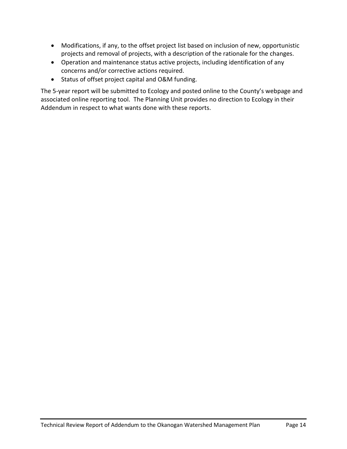- Modifications, if any, to the offset project list based on inclusion of new, opportunistic projects and removal of projects, with a description of the rationale for the changes.
- Operation and maintenance status active projects, including identification of any concerns and/or corrective actions required.
- Status of offset project capital and O&M funding.

<span id="page-13-0"></span>The 5-year report will be submitted to Ecology and posted online to the County's webpage and associated online reporting tool. The Planning Unit provides no direction to Ecology in their Addendum in respect to what wants done with these reports.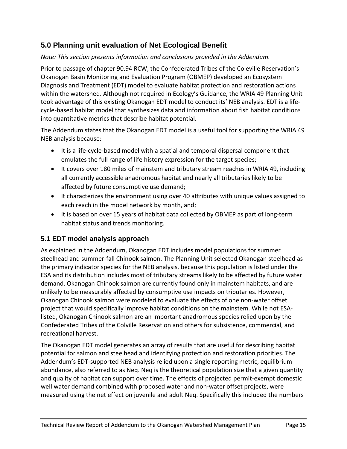## **5.0 Planning unit evaluation of Net Ecological Benefit**

#### *Note: This section presents information and conclusions provided in the Addendum.*

Prior to passage of chapter 90.94 RCW, the Confederated Tribes of the Coleville Reservation's Okanogan Basin Monitoring and Evaluation Program (OBMEP) developed an Ecosystem Diagnosis and Treatment (EDT) model to evaluate habitat protection and restoration actions within the watershed. Although not required in Ecology's Guidance, the WRIA 49 Planning Unit took advantage of this existing Okanogan EDT model to conduct its' NEB analysis. EDT is a lifecycle-based habitat model that synthesizes data and information about fish habitat conditions into quantitative metrics that describe habitat potential.

The Addendum states that the Okanogan EDT model is a useful tool for supporting the WRIA 49 NEB analysis because:

- It is a life-cycle-based model with a spatial and temporal dispersal component that emulates the full range of life history expression for the target species;
- It covers over 180 miles of mainstem and tributary stream reaches in WRIA 49, including all currently accessible anadromous habitat and nearly all tributaries likely to be affected by future consumptive use demand;
- It characterizes the environment using over 40 attributes with unique values assigned to each reach in the model network by month, and;
- It is based on over 15 years of habitat data collected by OBMEP as part of long-term habitat status and trends monitoring.

## <span id="page-14-0"></span>**5.1 EDT model analysis approach**

As explained in the Addendum, Okanogan EDT includes model populations for summer steelhead and summer-fall Chinook salmon. The Planning Unit selected Okanogan steelhead as the primary indicator species for the NEB analysis, because this population is listed under the ESA and its distribution includes most of tributary streams likely to be affected by future water demand. Okanogan Chinook salmon are currently found only in mainstem habitats, and are unlikely to be measurably affected by consumptive use impacts on tributaries. However, Okanogan Chinook salmon were modeled to evaluate the effects of one non-water offset project that would specifically improve habitat conditions on the mainstem. While not ESAlisted, Okanogan Chinook salmon are an important anadromous species relied upon by the Confederated Tribes of the Colville Reservation and others for subsistence, commercial, and recreational harvest.

The Okanogan EDT model generates an array of results that are useful for describing habitat potential for salmon and steelhead and identifying protection and restoration priorities. The Addendum's EDT-supported NEB analysis relied upon a single reporting metric, equilibrium abundance, also referred to as Neq. Neq is the theoretical population size that a given quantity and quality of habitat can support over time. The effects of projected permit-exempt domestic well water demand combined with proposed water and non-water offset projects, were measured using the net effect on juvenile and adult Neq. Specifically this included the numbers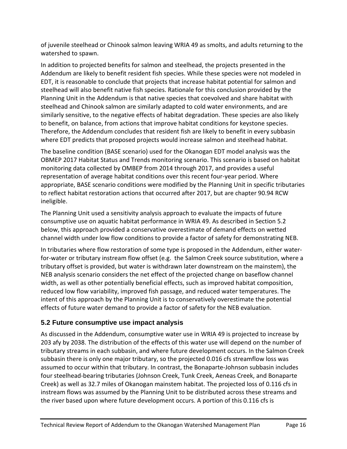of juvenile steelhead or Chinook salmon leaving WRIA 49 as smolts, and adults returning to the watershed to spawn.

In addition to projected benefits for salmon and steelhead, the projects presented in the Addendum are likely to benefit resident fish species. While these species were not modeled in EDT, it is reasonable to conclude that projects that increase habitat potential for salmon and steelhead will also benefit native fish species. Rationale for this conclusion provided by the Planning Unit in the Addendum is that native species that coevolved and share habitat with steelhead and Chinook salmon are similarly adapted to cold water environments, and are similarly sensitive, to the negative effects of habitat degradation. These species are also likely to benefit, on balance, from actions that improve habitat conditions for keystone species. Therefore, the Addendum concludes that resident fish are likely to benefit in every subbasin where EDT predicts that proposed projects would increase salmon and steelhead habitat.

The baseline condition (BASE scenario) used for the Okanogan EDT model analysis was the OBMEP 2017 Habitat Status and Trends monitoring scenario. This scenario is based on habitat monitoring data collected by OMBEP from 2014 through 2017, and provides a useful representation of average habitat conditions over this recent four-year period. Where appropriate, BASE scenario conditions were modified by the Planning Unit in specific tributaries to reflect habitat restoration actions that occurred after 2017, but are chapter 90.94 RCW ineligible.

The Planning Unit used a sensitivity analysis approach to evaluate the impacts of future consumptive use on aquatic habitat performance in WRIA 49. As described in Section 5.2 below, this approach provided a conservative overestimate of demand effects on wetted channel width under low flow conditions to provide a factor of safety for demonstrating NEB.

In tributaries where flow restoration of some type is proposed in the Addendum, either waterfor-water or tributary instream flow offset (e.g. the Salmon Creek source substitution, where a tributary offset is provided, but water is withdrawn later downstream on the mainstem), the NEB analysis scenario considers the net effect of the projected change on baseflow channel width, as well as other potentially beneficial effects, such as improved habitat composition, reduced low flow variability, improved fish passage, and reduced water temperatures. The intent of this approach by the Planning Unit is to conservatively overestimate the potential effects of future water demand to provide a factor of safety for the NEB evaluation.

## <span id="page-15-0"></span>**5.2 Future consumptive use impact analysis**

As discussed in the Addendum, consumptive water use in WRIA 49 is projected to increase by 203 afy by 2038. The distribution of the effects of this water use will depend on the number of tributary streams in each subbasin, and where future development occurs. In the Salmon Creek subbasin there is only one major tributary, so the projected 0.016 cfs streamflow loss was assumed to occur within that tributary. In contrast, the Bonaparte-Johnson subbasin includes four steelhead-bearing tributaries (Johnson Creek, Tunk Creek, Aeneas Creek, and Bonaparte Creek) as well as 32.7 miles of Okanogan mainstem habitat. The projected loss of 0.116 cfs in instream flows was assumed by the Planning Unit to be distributed across these streams and the river based upon where future development occurs. A portion of this 0.116 cfs is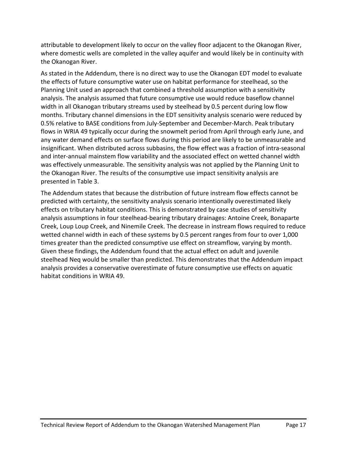attributable to development likely to occur on the valley floor adjacent to the Okanogan River, where domestic wells are completed in the valley aquifer and would likely be in continuity with the Okanogan River.

As stated in the Addendum, there is no direct way to use the Okanogan EDT model to evaluate the effects of future consumptive water use on habitat performance for steelhead, so the Planning Unit used an approach that combined a threshold assumption with a sensitivity analysis. The analysis assumed that future consumptive use would reduce baseflow channel width in all Okanogan tributary streams used by steelhead by 0.5 percent during low flow months. Tributary channel dimensions in the EDT sensitivity analysis scenario were reduced by 0.5% relative to BASE conditions from July-September and December-March. Peak tributary flows in WRIA 49 typically occur during the snowmelt period from April through early June, and any water demand effects on surface flows during this period are likely to be unmeasurable and insignificant. When distributed across subbasins, the flow effect was a fraction of intra-seasonal and inter-annual mainstem flow variability and the associated effect on wetted channel width was effectively unmeasurable. The sensitivity analysis was not applied by the Planning Unit to the Okanogan River. The results of the consumptive use impact sensitivity analysis are presented in Table 3.

<span id="page-16-0"></span>The Addendum states that because the distribution of future instream flow effects cannot be predicted with certainty, the sensitivity analysis scenario intentionally overestimated likely effects on tributary habitat conditions. This is demonstrated by case studies of sensitivity analysis assumptions in four steelhead-bearing tributary drainages: Antoine Creek, Bonaparte Creek, Loup Loup Creek, and Ninemile Creek. The decrease in instream flows required to reduce wetted channel width in each of these systems by 0.5 percent ranges from four to over 1,000 times greater than the predicted consumptive use effect on streamflow, varying by month. Given these findings, the Addendum found that the actual effect on adult and juvenile steelhead Neq would be smaller than predicted. This demonstrates that the Addendum impact analysis provides a conservative overestimate of future consumptive use effects on aquatic habitat conditions in WRIA 49.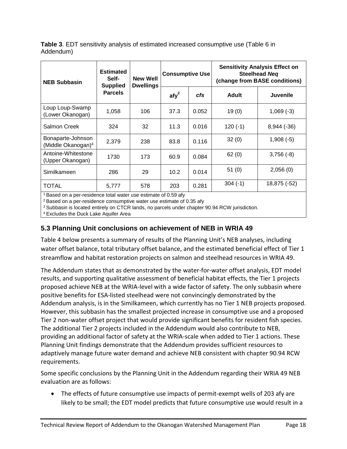**Table 3**. EDT sensitivity analysis of estimated increased consumptive use (Table 6 in Addendum)

| <b>NEB Subbasin</b>                                 | <b>Estimated</b><br>Self-                                                  | <b>New Well</b><br><b>Dwellings</b><br><b>Supplied</b> |                  | <b>Consumptive Use</b> | <b>Sensitivity Analysis Effect on</b><br><b>Steelhead Neg</b><br>(change from BASE conditions) |               |  |  |  |  |
|-----------------------------------------------------|----------------------------------------------------------------------------|--------------------------------------------------------|------------------|------------------------|------------------------------------------------------------------------------------------------|---------------|--|--|--|--|
|                                                     | <b>Parcels</b>                                                             |                                                        | $\mathsf{afy}^2$ | cfs                    | <b>Adult</b>                                                                                   | Juvenile      |  |  |  |  |
| Loup Loup-Swamp<br>(Lower Okanogan)                 | 1,058                                                                      | 106                                                    | 37.3             | 0.052                  | 19(0)                                                                                          | $1,069(-3)$   |  |  |  |  |
| <b>Salmon Creek</b>                                 | 324                                                                        | 32                                                     | 11.3             | 0.016                  | $120(-1)$                                                                                      | $8,944$ (-36) |  |  |  |  |
| Bonaparte-Johnson<br>(Middle Okanogan) <sup>4</sup> | 2,379                                                                      | 238                                                    | 83.8             | 0.116                  | 32(0)                                                                                          | $1,908(-5)$   |  |  |  |  |
| Antoine-Whitestone<br>(Upper Okanogan)              | 1730                                                                       | 173                                                    | 60.9             | 0.084                  | 62(0)                                                                                          | $3,756(-8)$   |  |  |  |  |
| Similkameen                                         | 286                                                                        | 29                                                     | 10.2             | 0.014                  | 51(0)                                                                                          | 2,056(0)      |  |  |  |  |
| <b>TOTAL</b>                                        | 5,777                                                                      | 578                                                    | 203              | 0.281                  | $304(-1)$                                                                                      | 18,875 (-52)  |  |  |  |  |
|                                                     | <sup>1</sup> Based on a per-residence total water use estimate of 0.59 afy |                                                        |                  |                        |                                                                                                |               |  |  |  |  |

 $2$  Based on a per-residence consumptive water use estimate of 0.35 afy

<sup>3</sup> Subbasin is located entirely on CTCR lands, no parcels under chapter 90.94 RCW jurisdiction.

4 Excludes the Duck Lake Aquifer Area

## <span id="page-17-0"></span>**5.3 Planning Unit conclusions on achievement of NEB in WRIA 49**

Table 4 below presents a summary of results of the Planning Unit's NEB analyses, including water offset balance, total tributary offset balance, and the estimated beneficial effect of Tier 1 streamflow and habitat restoration projects on salmon and steelhead resources in WRIA 49.

The Addendum states that as demonstrated by the water-for-water offset analysis, EDT model results, and supporting qualitative assessment of beneficial habitat effects, the Tier 1 projects proposed achieve NEB at the WRIA-level with a wide factor of safety. The only subbasin where positive benefits for ESA-listed steelhead were not convincingly demonstrated by the Addendum analysis, is in the Similkameen, which currently has no Tier 1 NEB projects proposed. However, this subbasin has the smallest projected increase in consumptive use and a proposed Tier 2 non-water offset project that would provide significant benefits for resident fish species. The additional Tier 2 projects included in the Addendum would also contribute to NEB, providing an additional factor of safety at the WRIA-scale when added to Tier 1 actions. These Planning Unit findings demonstrate that the Addendum provides sufficient resources to adaptively manage future water demand and achieve NEB consistent with chapter 90.94 RCW requirements.

Some specific conclusions by the Planning Unit in the Addendum regarding their WRIA 49 NEB evaluation are as follows:

• The effects of future consumptive use impacts of permit-exempt wells of 203 afy are likely to be small; the EDT model predicts that future consumptive use would result in a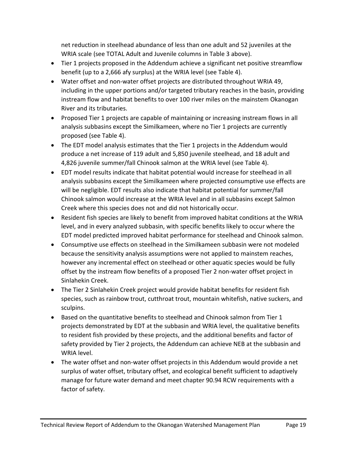net reduction in steelhead abundance of less than one adult and 52 juveniles at the WRIA scale (see TOTAL Adult and Juvenile columns in Table 3 above).

- Tier 1 projects proposed in the Addendum achieve a significant net positive streamflow benefit (up to a 2,666 afy surplus) at the WRIA level (see Table 4).
- Water offset and non-water offset projects are distributed throughout WRIA 49, including in the upper portions and/or targeted tributary reaches in the basin, providing instream flow and habitat benefits to over 100 river miles on the mainstem Okanogan River and its tributaries.
- Proposed Tier 1 projects are capable of maintaining or increasing instream flows in all analysis subbasins except the Similkameen, where no Tier 1 projects are currently proposed (see Table 4).
- The EDT model analysis estimates that the Tier 1 projects in the Addendum would produce a net increase of 119 adult and 5,850 juvenile steelhead, and 18 adult and 4,826 juvenile summer/fall Chinook salmon at the WRIA level (see Table 4).
- EDT model results indicate that habitat potential would increase for steelhead in all analysis subbasins except the Similkameen where projected consumptive use effects are will be negligible. EDT results also indicate that habitat potential for summer/fall Chinook salmon would increase at the WRIA level and in all subbasins except Salmon Creek where this species does not and did not historically occur.
- Resident fish species are likely to benefit from improved habitat conditions at the WRIA level, and in every analyzed subbasin, with specific benefits likely to occur where the EDT model predicted improved habitat performance for steelhead and Chinook salmon.
- Consumptive use effects on steelhead in the Similkameen subbasin were not modeled because the sensitivity analysis assumptions were not applied to mainstem reaches, however any incremental effect on steelhead or other aquatic species would be fully offset by the instream flow benefits of a proposed Tier 2 non-water offset project in Sinlahekin Creek.
- The Tier 2 Sinlahekin Creek project would provide habitat benefits for resident fish species, such as rainbow trout, cutthroat trout, mountain whitefish, native suckers, and sculpins.
- Based on the quantitative benefits to steelhead and Chinook salmon from Tier 1 projects demonstrated by EDT at the subbasin and WRIA level, the qualitative benefits to resident fish provided by these projects, and the additional benefits and factor of safety provided by Tier 2 projects, the Addendum can achieve NEB at the subbasin and WRIA level.
- The water offset and non-water offset projects in this Addendum would provide a net surplus of water offset, tributary offset, and ecological benefit sufficient to adaptively manage for future water demand and meet chapter 90.94 RCW requirements with a factor of safety.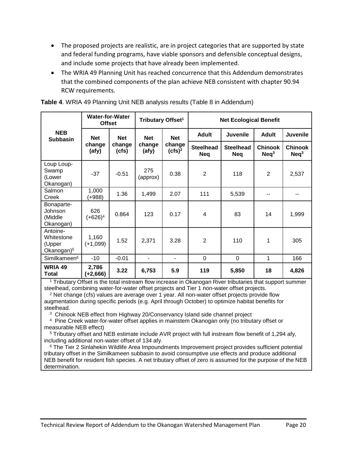- The proposed projects are realistic, are in project categories that are supported by state and federal funding programs, have viable sponsors and defensible conceptual designs, and include some projects that have already been implemented.
- The WRIA 49 Planning Unit has reached concurrence that this Addendum demonstrates that the combined components of the plan achieve NEB consistent with chapter 90.94 RCW requirements.

|                                                            | <b>Water-for-Water</b><br><b>Offset</b> |                 | Tributary Offset <sup>1</sup> |                     | <b>Net Ecological Benefit</b>  |                                |                              |                                    |  |
|------------------------------------------------------------|-----------------------------------------|-----------------|-------------------------------|---------------------|--------------------------------|--------------------------------|------------------------------|------------------------------------|--|
| <b>NEB</b><br><b>Subbasin</b>                              | <b>Net</b>                              | <b>Net</b>      | <b>Net</b>                    | <b>Net</b>          | <b>Adult</b>                   | <b>Juvenile</b>                | <b>Adult</b>                 | <b>Juvenile</b>                    |  |
|                                                            | change<br>(afy)                         | change<br>(cfs) | change<br>(afy)               | change<br>$(cfs)^2$ | <b>Steelhead</b><br><b>Neq</b> | <b>Steelhead</b><br><b>Neg</b> | <b>Chinook</b><br>$N$ eq $3$ | <b>Chinook</b><br>Neq <sup>3</sup> |  |
| Loup Loup-<br>Swamp<br>(Lower<br>Okanogan)                 | $-37$                                   | $-0.51$         | 275<br>(approx)               | 0.38                | $\overline{2}$                 | 118                            | $\overline{2}$               | 2,537                              |  |
| Salmon<br>Creek                                            | 1,000<br>(+988)                         | 1.36            | 1,499                         | 2.07                | 111                            | 5,539                          |                              |                                    |  |
| Bonaparte-<br>Johnson<br>(Middle<br>Okanogan)              | 626<br>(+626) <sup>4</sup>              | 0.864           | 123                           | 0.17                | $\overline{4}$                 | 83                             | 14                           | 1,999                              |  |
| Antoine-<br>Whitestone<br>(Upper<br>Okanogan) <sup>5</sup> | 1,160<br>$(+1,099)$                     | 1.52            | 2,371                         | 3.28                | $\overline{2}$                 | 110                            | 1                            | 305                                |  |
| Similkameen <sup>6</sup>                                   | $-10$                                   | $-0.01$         | ٠                             | ٠                   | $\Omega$                       | 0                              | 1                            | 166                                |  |
| <b>WRIA 49</b><br><b>Total</b>                             | 2,786<br>$(+2,666)$                     | 3.22            | 6,753                         | 5.9                 | 119                            | 5,850                          | 18                           | 4,826                              |  |

<span id="page-19-0"></span>**Table 4**. WRIA 49 Planning Unit NEB analysis results (Table 8 in Addendum)

<sup>1</sup> Tributary Offset is the total instream flow increase in Okanogan River tributaries that support summer steelhead, combining water-for-water offset projects and Tier 1 non-water offset projects.

 $2$  Net change (cfs) values are average over 1 year. All non-water offset projects provide flow augmentation during specific periods (e.g. April through October) to optimize habitat benefits for steelhead.

<sup>3</sup> Chinook NEB effect from Highway 20/Conservancy Island side channel project

4 Pine Creek water-for-water offset applies in mainstem Okanogan only (no tributary offset or measurable NEB effect)

<sup>5</sup> Tributary offset and NEB estimate include AVR project with full instream flow benefit of 1,294 afy, including additional non-water offset of 134 afy.

<sup>6</sup> The Tier 2 Sinlahekin Wildlife Area Impoundments Improvement project provides sufficient potential tributary offset in the Similkameen subbasin to avoid consumptive use effects and produce additional NEB benefit for resident fish species. A net tributary offset of zero is assumed for the purpose of the NEB determination.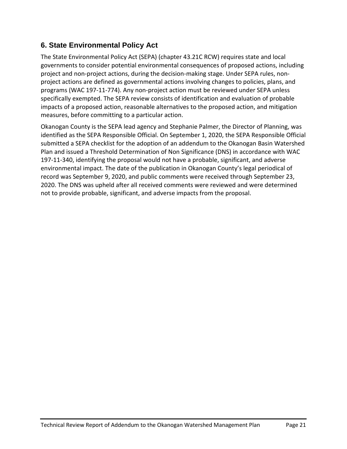## <span id="page-20-0"></span>**6. State Environmental Policy Act**

The State Environmental Policy Act (SEPA) (chapter 43.21C RCW) requires state and local governments to consider potential environmental consequences of proposed actions, including project and non-project actions, during the decision-making stage. Under SEPA rules, nonproject actions are defined as governmental actions involving changes to policies, plans, and programs (WAC 197-11-774). Any non-project action must be reviewed under SEPA unless specifically exempted. The SEPA review consists of identification and evaluation of probable impacts of a proposed action, reasonable alternatives to the proposed action, and mitigation measures, before committing to a particular action.

<span id="page-20-1"></span>Okanogan County is the SEPA lead agency and Stephanie Palmer, the Director of Planning, was identified as the SEPA Responsible Official. On September 1, 2020, the SEPA Responsible Official submitted a SEPA checklist for the adoption of an addendum to the Okanogan Basin Watershed Plan and issued a Threshold Determination of Non Significance (DNS) in accordance with WAC 197-11-340, identifying the proposal would not have a probable, significant, and adverse environmental impact. The date of the publication in Okanogan County's legal periodical of record was September 9, 2020, and public comments were received through September 23, 2020. The DNS was upheld after all received comments were reviewed and were determined not to provide probable, significant, and adverse impacts from the proposal.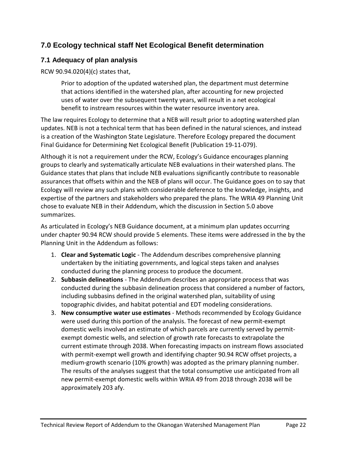## **7.0 Ecology technical staff Net Ecological Benefit determination**

### <span id="page-21-0"></span>**7.1 Adequacy of plan analysis**

RCW 90.94.020(4)(c) states that,

Prior to adoption of the updated watershed plan, the department must determine that actions identified in the watershed plan, after accounting for new projected uses of water over the subsequent twenty years, will result in a net ecological benefit to instream resources within the water resource inventory area.

The law requires Ecology to determine that a NEB will result prior to adopting watershed plan updates. NEB is not a technical term that has been defined in the natural sciences, and instead is a creation of the Washington State Legislature. Therefore Ecology prepared the document Final Guidance for Determining Net Ecological Benefit (Publication 19-11-079).

Although it is not a requirement under the RCW, Ecology's Guidance encourages planning groups to clearly and systematically articulate NEB evaluations in their watershed plans. The Guidance states that plans that include NEB evaluations significantly contribute to reasonable assurances that offsets within and the NEB of plans will occur. The Guidance goes on to say that Ecology will review any such plans with considerable deference to the knowledge, insights, and expertise of the partners and stakeholders who prepared the plans. The WRIA 49 Planning Unit chose to evaluate NEB in their Addendum, which the discussion in Section 5.0 above summarizes.

As articulated in Ecology's NEB Guidance document, at a minimum plan updates occurring under chapter 90.94 RCW should provide 5 elements. These items were addressed in the by the Planning Unit in the Addendum as follows:

- 1. **Clear and Systematic Logic** The Addendum describes comprehensive planning undertaken by the initiating governments, and logical steps taken and analyses conducted during the planning process to produce the document.
- 2. **Subbasin delineations** The Addendum describes an appropriate process that was conducted during the subbasin delineation process that considered a number of factors, including subbasins defined in the original watershed plan, suitability of using topographic divides, and habitat potential and EDT modeling considerations.
- 3. **New consumptive water use estimates** Methods recommended by Ecology Guidance were used during this portion of the analysis. The forecast of new permit-exempt domestic wells involved an estimate of which parcels are currently served by permitexempt domestic wells, and selection of growth rate forecasts to extrapolate the current estimate through 2038. When forecasting impacts on instream flows associated with permit-exempt well growth and identifying chapter 90.94 RCW offset projects, a medium-growth scenario (10% growth) was adopted as the primary planning number. The results of the analyses suggest that the total consumptive use anticipated from all new permit-exempt domestic wells within WRIA 49 from 2018 through 2038 will be approximately 203 afy.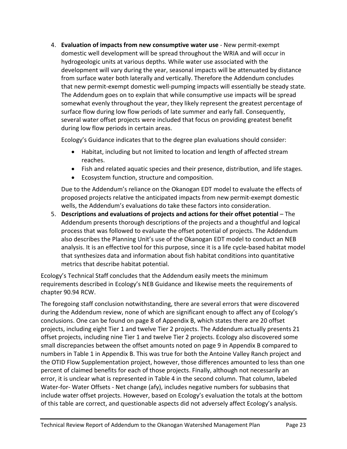4. **Evaluation of impacts from new consumptive water use** - New permit-exempt domestic well development will be spread throughout the WRIA and will occur in hydrogeologic units at various depths. While water use associated with the development will vary during the year, seasonal impacts will be attenuated by distance from surface water both laterally and vertically. Therefore the Addendum concludes that new permit-exempt domestic well-pumping impacts will essentially be steady state. The Addendum goes on to explain that while consumptive use impacts will be spread somewhat evenly throughout the year, they likely represent the greatest percentage of surface flow during low flow periods of late summer and early fall. Consequently, several water offset projects were included that focus on providing greatest benefit during low flow periods in certain areas.

Ecology's Guidance indicates that to the degree plan evaluations should consider:

- Habitat, including but not limited to location and length of affected stream reaches.
- Fish and related aquatic species and their presence, distribution, and life stages.
- Ecosystem function, structure and composition.

Due to the Addendum's reliance on the Okanogan EDT model to evaluate the effects of proposed projects relative the anticipated impacts from new permit-exempt domestic wells, the Addendum's evaluations do take these factors into consideration.

5. **Descriptions and evaluations of projects and actions for their offset potential** – The Addendum presents thorough descriptions of the projects and a thoughtful and logical process that was followed to evaluate the offset potential of projects. The Addendum also describes the Planning Unit's use of the Okanogan EDT model to conduct an NEB analysis. It is an effective tool for this purpose, since it is a life cycle-based habitat model that synthesizes data and information about fish habitat conditions into quantitative metrics that describe habitat potential.

Ecology's Technical Staff concludes that the Addendum easily meets the minimum requirements described in Ecology's NEB Guidance and likewise meets the requirements of chapter 90.94 RCW.

The foregoing staff conclusion notwithstanding, there are several errors that were discovered during the Addendum review, none of which are significant enough to affect any of Ecology's conclusions. One can be found on page 8 of Appendix B, which states there are 20 offset projects, including eight Tier 1 and twelve Tier 2 projects. The Addendum actually presents 21 offset projects, including nine Tier 1 and twelve Tier 2 projects. Ecology also discovered some small discrepancies between the offset amounts noted on page 9 in Appendix B compared to numbers in Table 1 in Appendix B. This was true for both the Antoine Valley Ranch project and the OTID Flow Supplementation project, however, those differences amounted to less than one percent of claimed benefits for each of those projects. Finally, although not necessarily an error, it is unclear what is represented in Table 4 in the second column. That column, labeled Water-for- Water Offsets - Net change (afy), includes negative numbers for subbasins that include water offset projects. However, based on Ecology's evaluation the totals at the bottom of this table are correct, and questionable aspects did not adversely affect Ecology's analysis.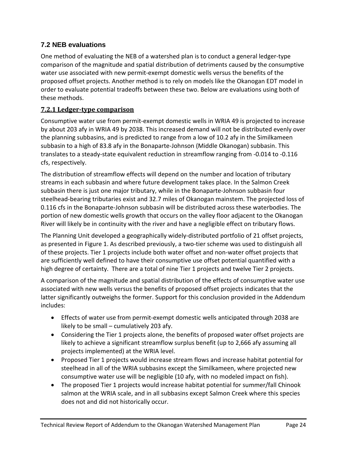## <span id="page-23-0"></span>**7.2 NEB evaluations**

One method of evaluating the NEB of a watershed plan is to conduct a general ledger-type comparison of the magnitude and spatial distribution of detriments caused by the consumptive water use associated with new permit-exempt domestic wells versus the benefits of the proposed offset projects. Another method is to rely on models like the Okanogan EDT model in order to evaluate potential tradeoffs between these two. Below are evaluations using both of these methods.

#### **7.2.1 Ledger-type comparison**

Consumptive water use from permit-exempt domestic wells in WRIA 49 is projected to increase by about 203 afy in WRIA 49 by 2038. This increased demand will not be distributed evenly over the planning subbasins, and is predicted to range from a low of 10.2 afy in the Similkameen subbasin to a high of 83.8 afy in the Bonaparte-Johnson (Middle Okanogan) subbasin. This translates to a steady-state equivalent reduction in streamflow ranging from -0.014 to -0.116 cfs, respectively.

The distribution of streamflow effects will depend on the number and location of tributary streams in each subbasin and where future development takes place. In the Salmon Creek subbasin there is just one major tributary, while in the Bonaparte-Johnson subbasin four steelhead-bearing tributaries exist and 32.7 miles of Okanogan mainstem. The projected loss of 0.116 cfs in the Bonaparte-Johnson subbasin will be distributed across these waterbodies. The portion of new domestic wells growth that occurs on the valley floor adjacent to the Okanogan River will likely be in continuity with the river and have a negligible effect on tributary flows.

The Planning Unit developed a geographically widely-distributed portfolio of 21 offset projects, as presented in Figure 1. As described previously, a two-tier scheme was used to distinguish all of these projects. Tier 1 projects include both water offset and non-water offset projects that are sufficiently well defined to have their consumptive use offset potential quantified with a high degree of certainty. There are a total of nine Tier 1 projects and twelve Tier 2 projects.

A comparison of the magnitude and spatial distribution of the effects of consumptive water use associated with new wells versus the benefits of proposed offset projects indicates that the latter significantly outweighs the former. Support for this conclusion provided in the Addendum includes:

- Effects of water use from permit-exempt domestic wells anticipated through 2038 are likely to be small – cumulatively 203 afy.
- Considering the Tier 1 projects alone, the benefits of proposed water offset projects are likely to achieve a significant streamflow surplus benefit (up to 2,666 afy assuming all projects implemented) at the WRIA level.
- Proposed Tier 1 projects would increase stream flows and increase habitat potential for steelhead in all of the WRIA subbasins except the Similkameen, where projected new consumptive water use will be negligible (10 afy, with no modeled impact on fish).
- The proposed Tier 1 projects would increase habitat potential for summer/fall Chinook salmon at the WRIA scale, and in all subbasins except Salmon Creek where this species does not and did not historically occur.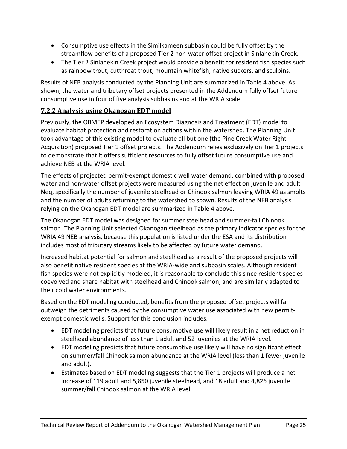- Consumptive use effects in the Similkameen subbasin could be fully offset by the streamflow benefits of a proposed Tier 2 non-water offset project in Sinlahekin Creek.
- The Tier 2 Sinlahekin Creek project would provide a benefit for resident fish species such as rainbow trout, cutthroat trout, mountain whitefish, native suckers, and sculpins.

Results of NEB analysis conducted by the Planning Unit are summarized in Table 4 above. As shown, the water and tributary offset projects presented in the Addendum fully offset future consumptive use in four of five analysis subbasins and at the WRIA scale.

#### **7.2.2 Analysis using Okanogan EDT model**

Previously, the OBMEP developed an Ecosystem Diagnosis and Treatment (EDT) model to evaluate habitat protection and restoration actions within the watershed. The Planning Unit took advantage of this existing model to evaluate all but one (the Pine Creek Water Right Acquisition) proposed Tier 1 offset projects. The Addendum relies exclusively on Tier 1 projects to demonstrate that it offers sufficient resources to fully offset future consumptive use and achieve NEB at the WRIA level.

The effects of projected permit-exempt domestic well water demand, combined with proposed water and non-water offset projects were measured using the net effect on juvenile and adult Neq, specifically the number of juvenile steelhead or Chinook salmon leaving WRIA 49 as smolts and the number of adults returning to the watershed to spawn. Results of the NEB analysis relying on the Okanogan EDT model are summarized in Table 4 above.

The Okanogan EDT model was designed for summer steelhead and summer-fall Chinook salmon. The Planning Unit selected Okanogan steelhead as the primary indicator species for the WRIA 49 NEB analysis, because this population is listed under the ESA and its distribution includes most of tributary streams likely to be affected by future water demand.

Increased habitat potential for salmon and steelhead as a result of the proposed projects will also benefit native resident species at the WRIA-wide and subbasin scales. Although resident fish species were not explicitly modeled, it is reasonable to conclude this since resident species coevolved and share habitat with steelhead and Chinook salmon, and are similarly adapted to their cold water environments.

Based on the EDT modeling conducted, benefits from the proposed offset projects will far outweigh the detriments caused by the consumptive water use associated with new permitexempt domestic wells. Support for this conclusion includes:

- EDT modeling predicts that future consumptive use will likely result in a net reduction in steelhead abundance of less than 1 adult and 52 juveniles at the WRIA level.
- EDT modeling predicts that future consumptive use likely will have no significant effect on summer/fall Chinook salmon abundance at the WRIA level (less than 1 fewer juvenile and adult).
- Estimates based on EDT modeling suggests that the Tier 1 projects will produce a net increase of 119 adult and 5,850 juvenile steelhead, and 18 adult and 4,826 juvenile summer/fall Chinook salmon at the WRIA level.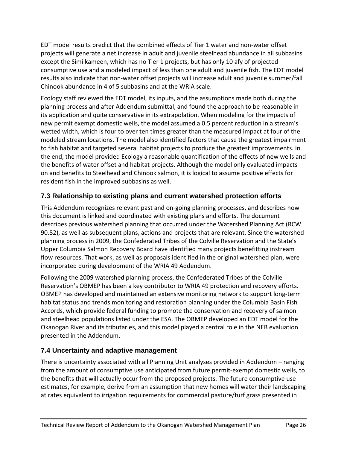EDT model results predict that the combined effects of Tier 1 water and non-water offset projects will generate a net increase in adult and juvenile steelhead abundance in all subbasins except the Similkameen, which has no Tier 1 projects, but has only 10 afy of projected consumptive use and a modeled impact of less than one adult and juvenile fish. The EDT model results also indicate that non-water offset projects will increase adult and juvenile summer/fall Chinook abundance in 4 of 5 subbasins and at the WRIA scale.

Ecology staff reviewed the EDT model, its inputs, and the assumptions made both during the planning process and after Addendum submittal, and found the approach to be reasonable in its application and quite conservative in its extrapolation. When modeling for the impacts of new permit exempt domestic wells, the model assumed a 0.5 percent reduction in a stream's wetted width, which is four to over ten times greater than the measured impact at four of the modeled stream locations. The model also identified factors that cause the greatest impairment to fish habitat and targeted several habitat projects to produce the greatest improvements. In the end, the model provided Ecology a reasonable quantification of the effects of new wells and the benefits of water offset and habitat projects. Although the model only evaluated impacts on and benefits to Steelhead and Chinook salmon, it is logical to assume positive effects for resident fish in the improved subbasins as well.

## <span id="page-25-0"></span>**7.3 Relationship to existing plans and current watershed protection efforts**

This Addendum recognizes relevant past and on-going planning processes, and describes how this document is linked and coordinated with existing plans and efforts. The document describes previous watershed planning that occurred under the Watershed Planning Act (RCW 90.82), as well as subsequent plans, actions and projects that are relevant. Since the watershed planning process in 2009, the Confederated Tribes of the Colville Reservation and the State's Upper Columbia Salmon Recovery Board have identified many projects benefitting instream flow resources. That work, as well as proposals identified in the original watershed plan, were incorporated during development of the WRIA 49 Addendum.

Following the 2009 watershed planning process, the Confederated Tribes of the Colville Reservation's OBMEP has been a key contributor to WRIA 49 protection and recovery efforts. OBMEP has developed and maintained an extensive monitoring network to support long-term habitat status and trends monitoring and restoration planning under the Columbia Basin Fish Accords, which provide federal funding to promote the conservation and recovery of salmon and steelhead populations listed under the ESA. The OBMEP developed an EDT model for the Okanogan River and its tributaries, and this model played a central role in the NEB evaluation presented in the Addendum.

## <span id="page-25-1"></span>**7.4 Uncertainty and adaptive management**

There is uncertainty associated with all Planning Unit analyses provided in Addendum – ranging from the amount of consumptive use anticipated from future permit-exempt domestic wells, to the benefits that will actually occur from the proposed projects. The future consumptive use estimates, for example, derive from an assumption that new homes will water their landscaping at rates equivalent to irrigation requirements for commercial pasture/turf grass presented in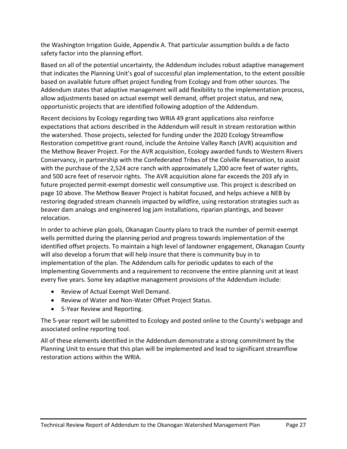the Washington Irrigation Guide, Appendix A. That particular assumption builds a de facto safety factor into the planning effort.

Based on all of the potential uncertainty, the Addendum includes robust adaptive management that indicates the Planning Unit's goal of successful plan implementation, to the extent possible based on available future offset project funding from Ecology and from other sources. The Addendum states that adaptive management will add flexibility to the implementation process, allow adjustments based on actual exempt well demand, offset project status, and new, opportunistic projects that are identified following adoption of the Addendum.

Recent decisions by Ecology regarding two WRIA 49 grant applications also reinforce expectations that actions described in the Addendum will result in stream restoration within the watershed. Those projects, selected for funding under the 2020 Ecology Streamflow Restoration competitive grant round, include the Antoine Valley Ranch (AVR) acquisition and the Methow Beaver Project. For the AVR acquisition, Ecology awarded funds to Western Rivers Conservancy, in partnership with the Confederated Tribes of the Colville Reservation, to assist with the purchase of the 2,524 acre ranch with approximately 1,200 acre feet of water rights, and 500 acre feet of reservoir rights. The AVR acquisition alone far exceeds the 203 afy in future projected permit-exempt domestic well consumptive use. This project is described on page 10 above. The Methow Beaver Project is habitat focused, and helps achieve a NEB by restoring degraded stream channels impacted by wildfire, using restoration strategies such as beaver dam analogs and engineered log jam installations, riparian plantings, and beaver relocation.

In order to achieve plan goals, Okanagan County plans to track the number of permit-exempt wells permitted during the planning period and progress towards implementation of the identified offset projects. To maintain a high level of landowner engagement, Okanagan County will also develop a forum that will help insure that there is community buy in to implementation of the plan. The Addendum calls for periodic updates to each of the Implementing Governments and a requirement to reconvene the entire planning unit at least every five years. Some key adaptive management provisions of the Addendum include:

- Review of Actual Exempt Well Demand.
- Review of Water and Non-Water Offset Project Status.
- 5-Year Review and Reporting.

The 5-year report will be submitted to Ecology and posted online to the County's webpage and associated online reporting tool.

<span id="page-26-0"></span>All of these elements identified in the Addendum demonstrate a strong commitment by the Planning Unit to ensure that this plan will be implemented and lead to significant streamflow restoration actions within the WRIA.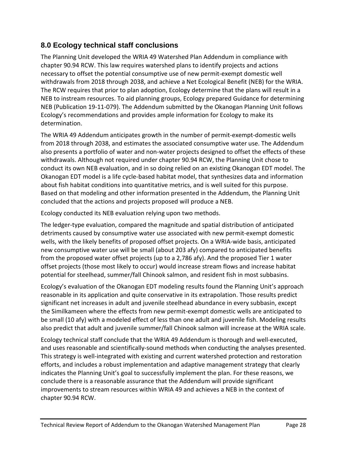## **8.0 Ecology technical staff conclusions**

The Planning Unit developed the WRIA 49 Watershed Plan Addendum in compliance with chapter 90.94 RCW. This law requires watershed plans to identify projects and actions necessary to offset the potential consumptive use of new permit-exempt domestic well withdrawals from 2018 through 2038, and achieve a Net Ecological Benefit (NEB) for the WRIA. The RCW requires that prior to plan adoption, Ecology determine that the plans will result in a NEB to instream resources. To aid planning groups, Ecology prepared Guidance for determining NEB (Publication 19-11-079). The Addendum submitted by the Okanogan Planning Unit follows Ecology's recommendations and provides ample information for Ecology to make its determination.

The WRIA 49 Addendum anticipates growth in the number of permit-exempt-domestic wells from 2018 through 2038, and estimates the associated consumptive water use. The Addendum also presents a portfolio of water and non-water projects designed to offset the effects of these withdrawals. Although not required under chapter 90.94 RCW, the Planning Unit chose to conduct its own NEB evaluation, and in so doing relied on an existing Okanogan EDT model. The Okanogan EDT model is a life cycle-based habitat model, that synthesizes data and information about fish habitat conditions into quantitative metrics, and is well suited for this purpose. Based on that modeling and other information presented in the Addendum, the Planning Unit concluded that the actions and projects proposed will produce a NEB.

Ecology conducted its NEB evaluation relying upon two methods.

The ledger-type evaluation, compared the magnitude and spatial distribution of anticipated detriments caused by consumptive water use associated with new permit-exempt domestic wells, with the likely benefits of proposed offset projects. On a WRIA-wide basis, anticipated new consumptive water use will be small (about 203 afy) compared to anticipated benefits from the proposed water offset projects (up to a 2,786 afy). And the proposed Tier 1 water offset projects (those most likely to occur) would increase stream flows and increase habitat potential for steelhead, summer/fall Chinook salmon, and resident fish in most subbasins.

Ecology's evaluation of the Okanogan EDT modeling results found the Planning Unit's approach reasonable in its application and quite conservative in its extrapolation. Those results predict significant net increases in adult and juvenile steelhead abundance in every subbasin, except the Similkameen where the effects from new permit-exempt domestic wells are anticipated to be small (10 afy) with a modeled effect of less than one adult and juvenile fish. Modeling results also predict that adult and juvenile summer/fall Chinook salmon will increase at the WRIA scale.

Ecology technical staff conclude that the WRIA 49 Addendum is thorough and well-executed, and uses reasonable and scientifically-sound methods when conducting the analyses presented. This strategy is well-integrated with existing and current watershed protection and restoration efforts, and includes a robust implementation and adaptive management strategy that clearly indicates the Planning Unit's goal to successfully implement the plan. For these reasons, we conclude there is a reasonable assurance that the Addendum will provide significant improvements to stream resources within WRIA 49 and achieves a NEB in the context of chapter 90.94 RCW.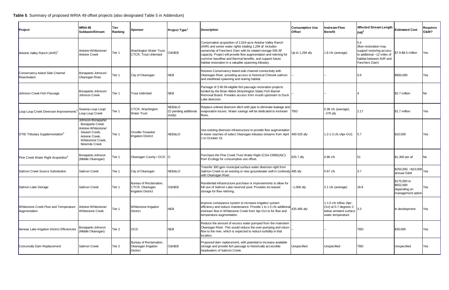<span id="page-28-0"></span>

| Project                                               | WRIA <sub>49</sub><br>Subbasin/Stream                                                                                                         | Tier<br>Ranking | Sponsor                                                                | Project Type <sup>1</sup>                 | <b>Description</b>                                                                                                                                                                                                                                                                                                                                                              | <b>Consumptive Use</b><br><b>Offset</b> | nstream Flow<br><b>Benefit</b>                                                                              | <b>Affected Stream Length</b><br>$(mi)^2$                                                                                          | <b>Estimated Cost</b>                                          | <b>Requires</b><br><b>O&amp;M?</b> |
|-------------------------------------------------------|-----------------------------------------------------------------------------------------------------------------------------------------------|-----------------|------------------------------------------------------------------------|-------------------------------------------|---------------------------------------------------------------------------------------------------------------------------------------------------------------------------------------------------------------------------------------------------------------------------------------------------------------------------------------------------------------------------------|-----------------------------------------|-------------------------------------------------------------------------------------------------------------|------------------------------------------------------------------------------------------------------------------------------------|----------------------------------------------------------------|------------------------------------|
| Antoine Valley Ranch (AVR) <sup>3</sup>               | Antoine-Whitestone/<br><b>Antoine Creek</b>                                                                                                   | Tier 1          | Washington Water Trust,<br><b>CTCR, Trout Unlimited</b>                | O&NEB                                     | Conservation acquisition of 2,524-acre Antoine Valley Ranch<br>(AVR) and senior water rights totaling 1,294 af. Includes<br>ownership of Fanchers Dam with its related storage 500 AF<br>capacity. Project will provide flow augmentation and retiming for<br>summer baseflow and thermal benefits, and support future<br>habitat restoration in a valuable spawning tributary. | Up to 1,294 afy                         | 1.8 cfs (average)                                                                                           | 5.4<br>(flow restoration may<br>support restoring access<br>to additional ~12 miles of<br>habitat between AVR and<br>Fanchers Dam) | \$7.9-\$8.5 million                                            | Yes                                |
| Conservancy Island Side Channel<br>Reactivation       | Bonaparte-Johnson/<br>Okanogan River                                                                                                          | Tier 1          | City of Okanogan                                                       | <b>NEB</b>                                | Restore Conservancy Island side channel connectivity with<br>Okanogan River, providing access to historical Chinook salmon<br>and steelhead spawning and rearing habitat.                                                                                                                                                                                                       |                                         |                                                                                                             | 0.9                                                                                                                                | \$850,000                                                      | Yes                                |
| Johnson Creek Fish Passage                            | Bonaparte-Johnson/<br>Johnson Creek                                                                                                           | Tier 1          | <b>Trout Unlimited</b>                                                 | <b>NEB</b>                                | Package of 3 90.94-eligible fish passage restoration projects<br>funded by the Brian Abbot (Washington State) Fish Barrier<br>Removal Board. Provides access from mouth upstream to Duck<br>Lake diversion.                                                                                                                                                                     |                                         |                                                                                                             |                                                                                                                                    | \$2.7 million                                                  | No.                                |
| Loup Loup Creek Diversion Improvements                | Swamp-Loup Loup/<br>Loup Loup Creek                                                                                                           | Tier 1          | CTCR, Washington<br><b>Water Trust</b>                                 | NEB&LO<br>(O pending additional<br>study) | Replace unlined diversion ditch with pipe to eliminate leakage and<br>evaporation losses. Water savings will be dedicated to instream<br>flows.                                                                                                                                                                                                                                 | <b>ITBD</b>                             | 0.38 cfs (average)<br>$-275$ afy                                                                            | 2.17                                                                                                                               | \$1.7 million                                                  | Yes                                |
| <b>OTID Tributary Supplementation</b> <sup>3</sup>    | Johnson-Bonaparte/<br><b>Bonaparte Creek</b><br>Antoine-Whitestone/<br>Siwash Creek.<br>Antoine Creek.<br>Whitestone Creek,<br>Ninemile Creek | Tier 1          | Oroville-Tonasket<br><b>Irrigation District</b>                        | NEB&LO                                    | Use existing diversion infrastructure to provide flow augmentation<br>in lower reaches of select Okanogan tributary streams from April 460-525 afy<br>1 to October 15.                                                                                                                                                                                                          |                                         | 1.2-1.3 cfs (Apr-Oct)                                                                                       | 15.7                                                                                                                               | \$10,500                                                       | Yes                                |
| Pine Creek Water Right Acquisition <sup>3</sup>       | Bonaparte-Johnson<br>(Middle Okanogan)                                                                                                        | Tier 1          | Okanogan County / OCD O                                                |                                           | Purchase the Pine Creek Trust Water Right (CG4-23992(A)C)<br>from Ecology for consumptive use offset.                                                                                                                                                                                                                                                                           | 625.7 afy                               | 0.86 <sub>cfs</sub>                                                                                         | 51                                                                                                                                 | \$1,300 per af                                                 | No                                 |
| Salmon Creek Source Substitution                      | <b>Salmon Creek</b>                                                                                                                           | Tier 1          | City of Okanogan                                                       | NEB&LO                                    | Transfer 300 gpm municipal surface water diversion right from<br>Salmon Creek to an existing or new groundwater well in continuity 485 afy<br>with Okanogan River.                                                                                                                                                                                                              |                                         | $0.67$ cfs                                                                                                  | 3.7                                                                                                                                | \$250,000, +\$10,000<br>annual O&M                             | Yes                                |
| Salmon Lake Storage                                   | Salmon Creek                                                                                                                                  | Tier 1          | Bureau of Reclamation,<br>CTCR, Okanogan<br><b>Irrigation District</b> | O&NEB                                     | Residential infrastructure purchase or improvements to allow for<br>full use of Salmon Lake reservoir pool. Provides increased<br>storage for flow retiming.                                                                                                                                                                                                                    | $~1,000$ afy                            | 2.1 cfs (average)                                                                                           | 18.8                                                                                                                               | \$175,000 to<br>\$652,000<br>depending on<br>management option | Yes                                |
| Whitestone Creek Flow and Temperature<br>Augmentation | Antoine-Whitestone/<br><b>Whitestone Creek</b>                                                                                                | Tier 1          | Whitestone Irrigation<br><b>District</b>                               | <b>NEB</b>                                | Improve conveyance system to increase irrigation system<br>efficiency and reduce maintenance. Provide 1 to 1.5 cfs additional<br>instream flow in Whitestone Creek from Apr-Oct to for flow and<br>temperature augmentation.                                                                                                                                                    | 425-485 afy                             | 1-1.5 cfs inflow (Apr-<br>Oct) at 5-7 degrees C $\Big _{3.3}$<br>below ambient surface<br>water temperature |                                                                                                                                    | In development                                                 | Yes                                |
| Aeneas Lake Irrigation District Efficiencies          | Bonaparte-Johnson<br>(Middle Okanogan)                                                                                                        | Tier 2          | <b>OCD</b>                                                             | <b>NEB</b>                                | Reduce the amount of excess water pumped from the mainstem<br>Okanogan River. This would reduce the over-pumping and return<br>flow to the river, which is expected to reduce turbidity in that<br>location.                                                                                                                                                                    |                                         |                                                                                                             | <b>TBD</b>                                                                                                                         | \$30,000                                                       | Yes                                |
| Conconully Dam Replacement                            | Salmon Creek                                                                                                                                  | Tier 2          | Bureau of Reclamation,<br>Okanogan Irrigation<br><b>District</b>       | O&NEB                                     | Proposed dam replacement, with potential to increase available<br>storage and provide fish passage to historically accessible<br>headwaters of Salmon Creek.                                                                                                                                                                                                                    | <b>Unspecified</b>                      | Unspecified                                                                                                 | <b>TBD</b>                                                                                                                         | Unspecified                                                    | Yes                                |